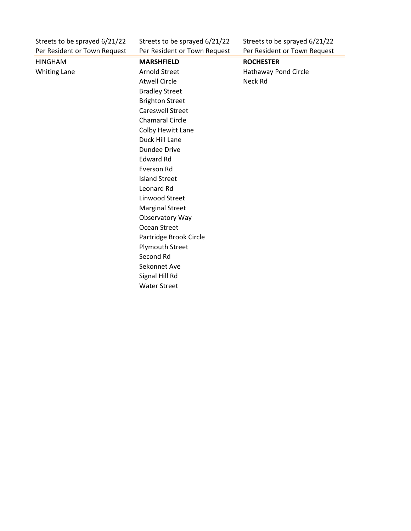| Streets to be sprayed 6/21/22 | Streets to be sprayed 6/21/22 | Streets to be sprayed 6/21/22 |
|-------------------------------|-------------------------------|-------------------------------|
| Per Resident or Town Request  | Per Resident or Town Request  | Per Resident or Town Request  |
| <b>HINGHAM</b>                | <b>MARSHFIELD</b>             | <b>ROCHESTER</b>              |
| <b>Whiting Lane</b>           | <b>Arnold Street</b>          | Hathaway Pond Circle          |
|                               | <b>Atwell Circle</b>          | Neck Rd                       |
|                               | <b>Bradley Street</b>         |                               |
|                               | <b>Brighton Street</b>        |                               |
|                               | <b>Careswell Street</b>       |                               |
|                               | <b>Chamaral Circle</b>        |                               |
|                               | Colby Hewitt Lane             |                               |
|                               | Duck Hill Lane                |                               |
|                               | <b>Dundee Drive</b>           |                               |
|                               | <b>Edward Rd</b>              |                               |
|                               | Everson Rd                    |                               |
|                               | <b>Island Street</b>          |                               |
|                               | Leonard Rd                    |                               |
|                               | Linwood Street                |                               |
|                               | <b>Marginal Street</b>        |                               |
|                               | Observatory Way               |                               |
|                               | Ocean Street                  |                               |
|                               | Partridge Brook Circle        |                               |
|                               | <b>Plymouth Street</b>        |                               |
|                               | Second Rd                     |                               |
|                               | Sekonnet Ave                  |                               |
|                               | Signal Hill Rd                |                               |
|                               | <b>Water Street</b>           |                               |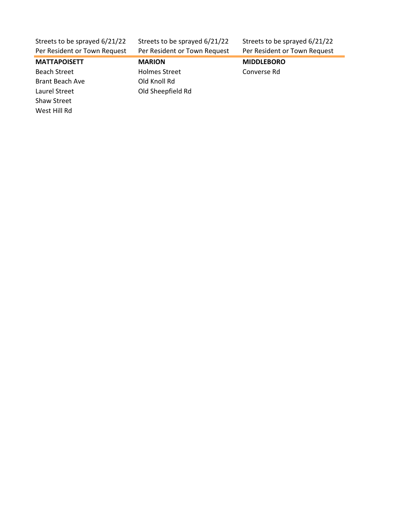| Streets to be sprayed 6/21/22<br>Per Resident or Town Request | Streets to be sprayed 6/21/22<br>Per Resident or Town Request | Streets to be sprayed 6/21/22<br>Per Resident or Town Request |
|---------------------------------------------------------------|---------------------------------------------------------------|---------------------------------------------------------------|
| <b>MATTAPOISETT</b>                                           | <b>MARION</b>                                                 | <b>MIDDLEBORO</b>                                             |
| <b>Beach Street</b>                                           | <b>Holmes Street</b>                                          | Converse Rd                                                   |
| <b>Brant Beach Ave</b>                                        | Old Knoll Rd                                                  |                                                               |
| Laurel Street                                                 | Old Sheepfield Rd                                             |                                                               |
| <b>Shaw Street</b>                                            |                                                               |                                                               |
| West Hill Rd                                                  |                                                               |                                                               |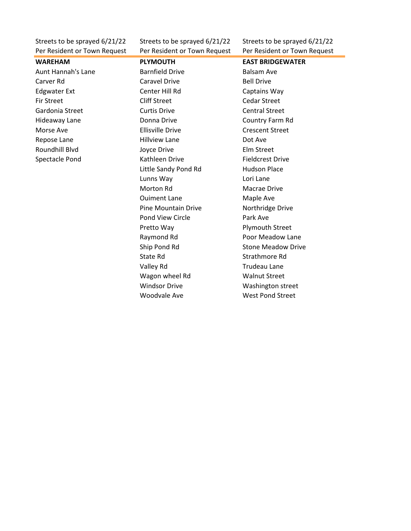Per Resident or Town Request Per Resident or Town Request Per Resident or Town Request

Streets to be sprayed 6/21/22 Streets to be sprayed 6/21/22 Streets to be sprayed 6/21/22

Aunt Hannah's Lane **Barnfield Drive** Balsam Ave Carver Rd Caravel Drive Caravel Drive Bell Drive Edgwater Ext **Center Hill Rd** Captains Way Fir Street Cliff Street Cedar Street Gardonia Street Curtis Drive Curtis Drive Central Street Hideaway Lane Donna Drive Country Farm Rd Morse Ave **Ellisville Drive** Crescent Street Repose Lane **Nitrical Contract Contract Contract Contract Contract Contract Contract Contract Contract Contract Contract Contract Contract Contract Contract Contract Contract Contract Contract Contract Contract Contract Co** Roundhill Blvd **Elm Street** Joyce Drive **Elm Street** Spectacle Pond **Figure 20** Kathleen Drive **Fieldcrest Drive Fieldcrest Drive** Little Sandy Pond Rd
Hudson Place Lunns Way Lori Lane Morton Rd
Burguette Macrae Drive Ouiment Lane Maple Ave Pine Mountain Drive **Northridge Drive** Pond View Circle **Park Ave** Pretto Way **Plymouth Street** Raymond Rd **Poor Meadow Lane** State Rd Strathmore Rd Valley Rd **Trudeau Lane** Wagon wheel Rd Walnut Street Windsor Drive Washington street

**WAREHAM PLYMOUTH EAST BRIDGEWATER** Ship Pond Rd Stone Meadow Drive Woodvale Ave West Pond Street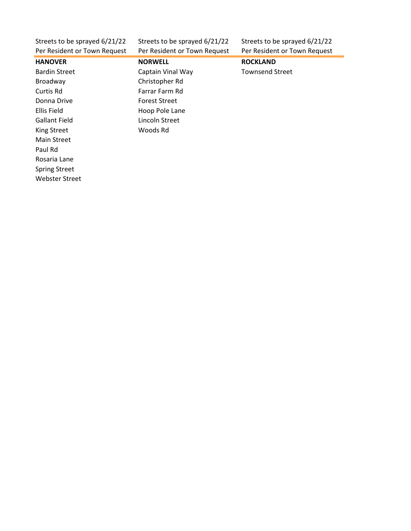| Streets to be sprayed 6/21/22 | Streets to be sprayed 6/21/22 | Streets to be sprayed 6/21/22 |
|-------------------------------|-------------------------------|-------------------------------|
| Per Resident or Town Request  | Per Resident or Town Request  | Per Resident or Town Request  |
| <b>HANOVER</b>                | <b>NORWELL</b>                | <b>ROCKLAND</b>               |
| <b>Bardin Street</b>          | Captain Vinal Way             | <b>Townsend Street</b>        |
| Broadway                      | Christopher Rd                |                               |
| Curtis Rd                     | Farrar Farm Rd                |                               |
| Donna Drive                   | <b>Forest Street</b>          |                               |
| Ellis Field                   | Hoop Pole Lane                |                               |
| <b>Gallant Field</b>          | Lincoln Street                |                               |
| <b>King Street</b>            | Woods Rd                      |                               |
| Main Street                   |                               |                               |
| Paul Rd                       |                               |                               |
| Rosaria Lane                  |                               |                               |
| <b>Spring Street</b>          |                               |                               |
| Webster Street                |                               |                               |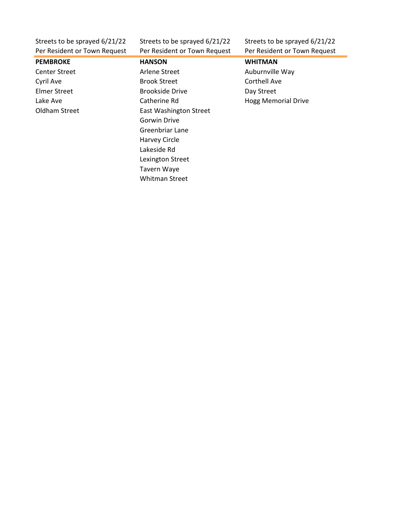Streets to be sprayed 6/21/22 Streets to be sprayed 6/21/22 Streets to be sprayed 6/21/22 Per Resident or Town Request Per Resident or Town Request Per Resident or Town Request

| <b>PEMBROKE</b>      | <b>HANSON</b>                 | <b>WHITMAN</b>             |
|----------------------|-------------------------------|----------------------------|
| <b>Center Street</b> | Arlene Street                 | Auburnville Way            |
| Cyril Ave            | <b>Brook Street</b>           | <b>Corthell Ave</b>        |
| Elmer Street         | <b>Brookside Drive</b>        | Day Street                 |
| Lake Ave             | Catherine Rd                  | <b>Hogg Memorial Drive</b> |
| Oldham Street        | <b>East Washington Street</b> |                            |
|                      | Gorwin Drive                  |                            |
|                      | Greenbriar Lane               |                            |
|                      | Harvey Circle                 |                            |
|                      | Lakeside Rd                   |                            |
|                      | Lexington Street              |                            |

Tavern Waye Whitman Street